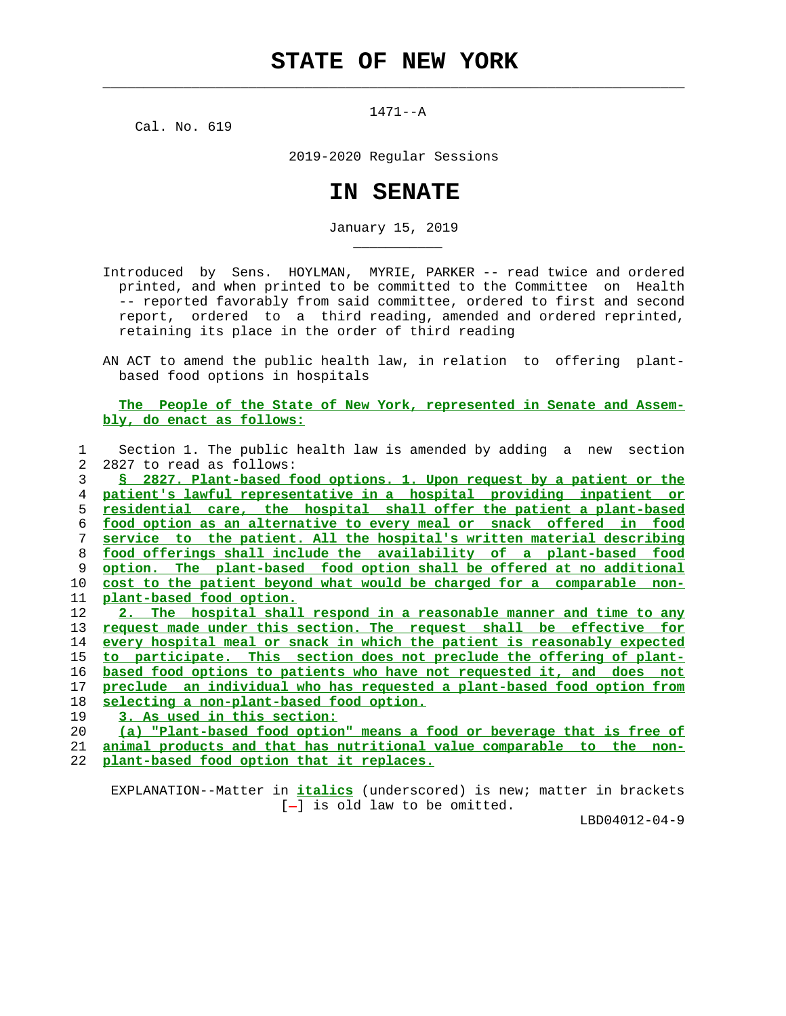$\mathcal{L}_\text{max} = \frac{1}{2} \sum_{i=1}^{n} \frac{1}{2} \sum_{i=1}^{n} \frac{1}{2} \sum_{i=1}^{n} \frac{1}{2} \sum_{i=1}^{n} \frac{1}{2} \sum_{i=1}^{n} \frac{1}{2} \sum_{i=1}^{n} \frac{1}{2} \sum_{i=1}^{n} \frac{1}{2} \sum_{i=1}^{n} \frac{1}{2} \sum_{i=1}^{n} \frac{1}{2} \sum_{i=1}^{n} \frac{1}{2} \sum_{i=1}^{n} \frac{1}{2} \sum_{i=1}^{n} \frac{1$ 

1471--A

Cal. No. 619

\_\_\_\_\_\_\_\_\_\_\_

2019-2020 Regular Sessions

## **IN SENATE**

January 15, 2019

 Introduced by Sens. HOYLMAN, MYRIE, PARKER -- read twice and ordered printed, and when printed to be committed to the Committee on Health -- reported favorably from said committee, ordered to first and second report, ordered to a third reading, amended and ordered reprinted, retaining its place in the order of third reading

 AN ACT to amend the public health law, in relation to offering plant based food options in hospitals

 **The People of the State of New York, represented in Senate and Assem bly, do enact as follows:**

|                | Section 1. The public health law is amended by adding a new section         |
|----------------|-----------------------------------------------------------------------------|
| $\overline{2}$ | 2827 to read as follows:                                                    |
| 3              | S 2827. Plant-based food options. 1. Upon request by a patient or the       |
| 4              | patient's lawful representative in a hospital providing inpatient or        |
| 5              | <u>residential care, the hospital shall offer the patient a plant-based</u> |
| 6              | food option as an alternative to every meal or snack offered in food        |
| 7              | service to the patient. All the hospital's written material describing      |
| 8              | food offerings shall include the availability of a plant-based food         |
| 9              | option. The plant-based food option shall be offered at no additional       |
| 10             | cost to the patient beyond what would be charged for a comparable non-      |
| 11             | plant-based food option.                                                    |
| 12             | 2. The hospital shall respond in a reasonable manner and time to any        |
| 13             | request made under this section. The request shall be effective for         |
| 14             | every hospital meal or snack in which the patient is reasonably expected    |
| 15             | to participate. This section does not preclude the offering of plant-       |
| 16             | based food options to patients who have not requested it, and does not      |
| 17             | preclude an individual who has requested a plant-based food option from     |
| 18             | selecting a non-plant-based food option.                                    |
| 19             | 3. As used in this section:                                                 |
| 20             | (a) "Plant-based food option" means a food or beverage that is free of      |
| 21             | animal products and that has nutritional value comparable to the non-       |
| 22             | plant-based food option that it replaces.                                   |
|                |                                                                             |

 EXPLANATION--Matter in **italics** (underscored) is new; matter in brackets  $[-]$  is old law to be omitted.

LBD04012-04-9